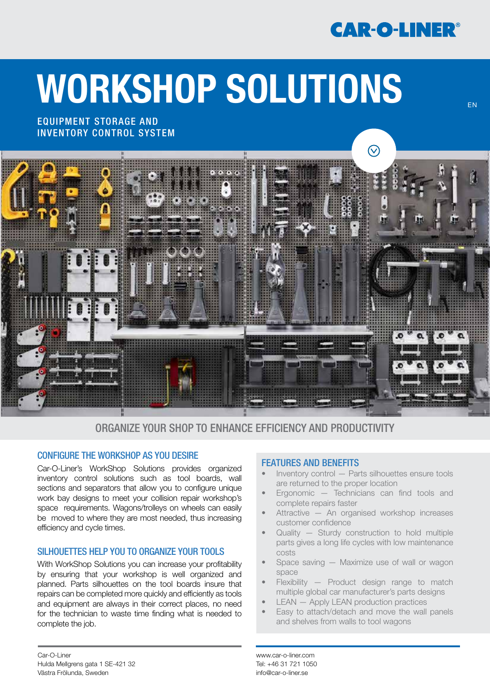## **CAR-O-LINER®**

EN

# WORKSHOP SOLUTIONS

EQUIPMENT STORAGE AND INVENTORY CONTROL SYSTEM



#### ORGANIZE YOUR SHOP TO ENHANCE EFFICIENCY AND PRODUCTIVITY

#### CONFIGURE THE WORKSHOP AS YOU DESIRE

Car-O-Liner's WorkShop Solutions provides organized inventory control solutions such as tool boards, wall sections and separators that allow you to configure unique work bay designs to meet your collision repair workshop's space requirements. Wagons/trolleys on wheels can easily be moved to where they are most needed, thus increasing efficiency and cycle times.

#### SILHOUETTES HELP YOU TO ORGANIZE YOUR TOOLS

With WorkShop Solutions you can increase your profitability by ensuring that your workshop is well organized and planned. Parts silhouettes on the tool boards insure that repairs can be completed more quickly and efficiently as tools and equipment are always in their correct places, no need for the technician to waste time finding what is needed to complete the job.

#### FEATURES AND BENEFITS

- Inventory control Parts silhouettes ensure tools are returned to the proper location
- Ergonomic Technicians can find tools and complete repairs faster
- Attractive An organised workshop increases customer confidence
- Quality  $-$  Sturdy construction to hold multiple parts gives a long life cycles with low maintenance costs
- Space saving Maximize use of wall or wagon space
- Flexibility Product design range to match multiple global car manufacturer's parts designs
- LEAN Apply LEAN production practices
- Easy to attach/detach and move the wall panels and shelves from walls to tool wagons

www.car-o-liner.com Tel: +46 31 721 1050 info@car-o-liner.se